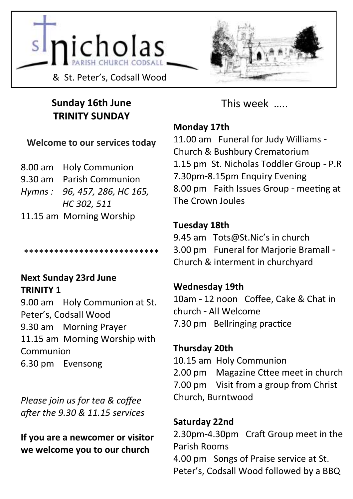



### **Sunday 16th June TRINITY SUNDAY**

### **Welcome to our services today**

| 8.00 am Holy Communion       |
|------------------------------|
| 9.30 am Parish Communion     |
| Hymns: 96, 457, 286, HC 165, |
| HC 302, 511                  |
| 11.15 am Morning Worship     |
|                              |

\*\*\*\*\*\*\*\*\*\*\*\*\*\*\*\*\*\*\*\*\*\*\*\*\*\*\*

### **Next Sunday 23rd June TRINITY 1**

9.00 am Holy Communion at St. Peter's, Codsall Wood 9.30 am Morning Prayer 11.15 am Morning Worship with Communion 6.30 pm Evensong

*Please join us for tea & coffee after the 9.30 & 11.15 services*

**If you are a newcomer or visitor we welcome you to our church**

This week …..

### **Monday 17th**

11.00 am Funeral for Judy Williams - Church & Bushbury Crematorium 1.15 pm St. Nicholas Toddler Group - P.R 7.30pm-8.15pm Enquiry Evening 8.00 pm Faith Issues Group - meeting at The Crown Joules

### **Tuesday 18th**

9.45 am Tots@St.Nic's in church 3.00 pm Funeral for Marjorie Bramall - Church & interment in churchyard

### **Wednesday 19th**

10am - 12 noon Coffee, Cake & Chat in church - All Welcome 7.30 pm Bellringing practice

### **Thursday 20th**

10.15 am Holy Communion 2.00 pm Magazine Cttee meet in church 7.00 pm Visit from a group from Christ Church, Burntwood

### **Saturday 22nd**

2.30pm-4.30pm Craft Group meet in the Parish Rooms 4.00 pm Songs of Praise service at St. Peter's, Codsall Wood followed by a BBQ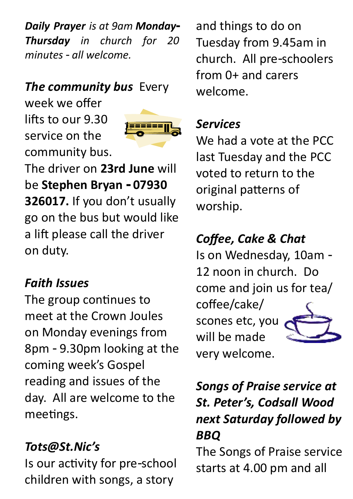*Daily Prayer is at 9am Monday-Thursday in church for 20 minutes - all welcome.*

## *The community bus Every*

week we offer lifts to our 9.30 service on the community bus.



The driver on **23rd June** will be **Stephen Bryan - 07930 326017.** If you don't usually go on the bus but would like a lift please call the driver on duty.

### *Faith Issues*

The group continues to meet at the Crown Joules on Monday evenings from 8pm - 9.30pm looking at the coming week's Gospel reading and issues of the day. All are welcome to the meetings.

## *Tots@St.Nic's*

Is our activity for pre-school children with songs, a story

and things to do on Tuesday from 9.45am in church. All pre-schoolers from 0+ and carers welcome.

## *Services*

We had a vote at the PCC last Tuesday and the PCC voted to return to the original patterns of worship.

# *Coffee, Cake & Chat*

Is on Wednesday, 10am - 12 noon in church. Do come and join us for tea/

coffee/cake/ scones etc, you will be made very welcome.



# *Songs of Praise service at St. Peter's, Codsall Wood next Saturday followed by BBQ*

The Songs of Praise service starts at 4.00 pm and all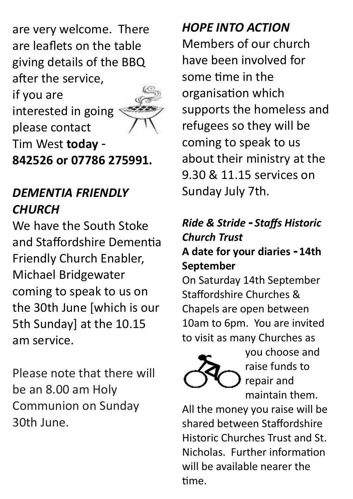are very welcome. There are leaflets on the table giving details of the BBQ after the service,

if you are interested in going please contact Tim West **today** - **842526 or 07786 275991.**

## *DEMENTIA FRIENDLY CHURCH*

We have the South Stoke and Staffordshire Dementia Friendly Church Enabler, Michael Bridgewater coming to speak to us on the 30th June [which is our 5th Sunday] at the 10.15 am service.

Please note that there will be an 8.00 am Holy Communion on Sunday 30th June.

*HOPE INTO ACTION*

Members of our church have been involved for some time in the organisation which supports the homeless and refugees so they will be coming to speak to us about their ministry at the 9.30 & 11.15 services on Sunday July 7th.

### *Ride & Stride - Staffs Historic Church Trust*  **A date for your diaries - 14th September**

On Saturday 14th September Staffordshire Churches & Chapels are open between 10am to 6pm. You are invited to visit as many Churches as



you choose and raise funds to repair and maintain them.

All the money you raise will be shared between Staffordshire Historic Churches Trust and St. Nicholas. Further information will be available nearer the time.